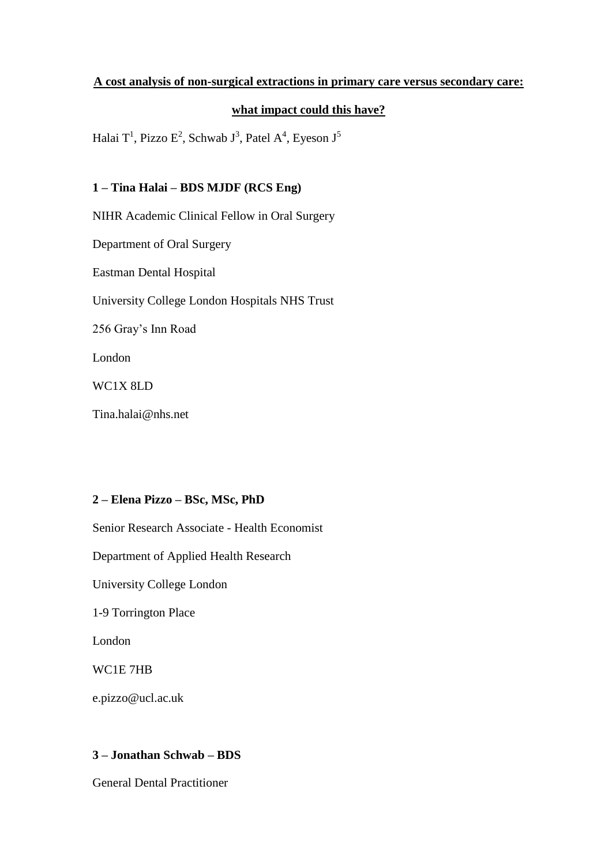## **A cost analysis of non-surgical extractions in primary care versus secondary care:**

#### **what impact could this have?**

Halai T<sup>1</sup>, Pizzo E<sup>2</sup>, Schwab J<sup>3</sup>, Patel A<sup>4</sup>, Eyeson J<sup>5</sup>

## **1 – Tina Halai – BDS MJDF (RCS Eng)**

NIHR Academic Clinical Fellow in Oral Surgery

Department of Oral Surgery

Eastman Dental Hospital

University College London Hospitals NHS Trust

256 Gray's Inn Road

London

WC1X 8LD

Tina.halai@nhs.net

### **2 – Elena Pizzo – BSc, MSc, PhD**

Senior Research Associate - Health Economist

Department of Applied Health Research

University College London

1-9 Torrington Place

London

WC1E 7HB

e.pizzo@ucl.ac.uk

## **3 – Jonathan Schwab – BDS**

General Dental Practitioner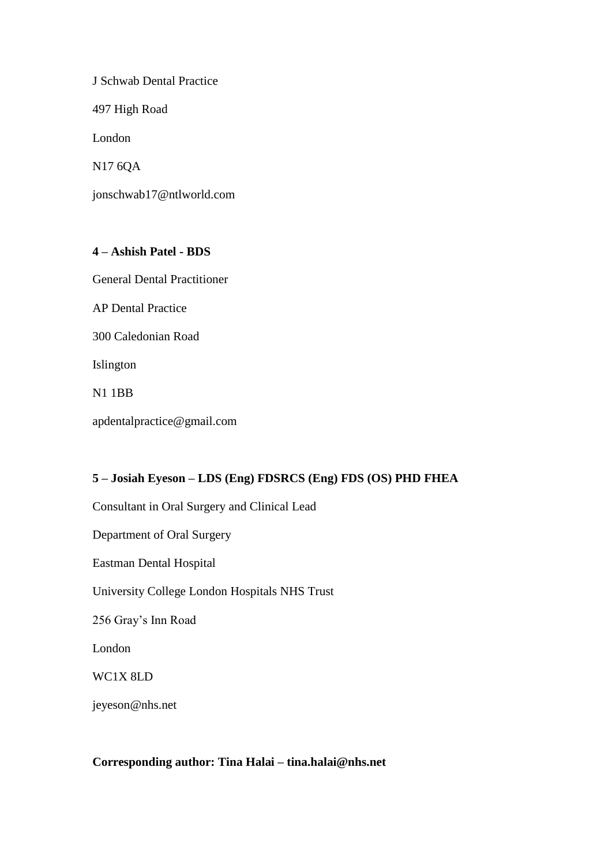J Schwab Dental Practice

497 High Road

London

N17 6QA

jonschwab17@ntlworld.com

## **4 – Ashish Patel - BDS**

General Dental Practitioner

AP Dental Practice

300 Caledonian Road

Islington

N1 1BB

apdentalpractice@gmail.com

## **5 – Josiah Eyeson – LDS (Eng) FDSRCS (Eng) FDS (OS) PHD FHEA**

Consultant in Oral Surgery and Clinical Lead

Department of Oral Surgery

Eastman Dental Hospital

University College London Hospitals NHS Trust

256 Gray's Inn Road

London

WC1X 8LD

jeyeson@nhs.net

### **Corresponding author: Tina Halai – tina.halai@nhs.net**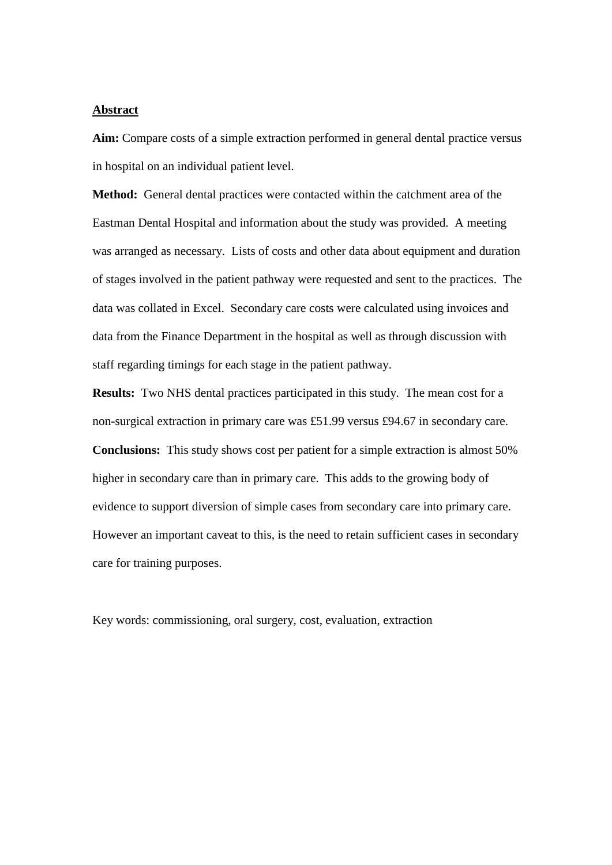#### **Abstract**

**Aim:** Compare costs of a simple extraction performed in general dental practice versus in hospital on an individual patient level.

**Method:** General dental practices were contacted within the catchment area of the Eastman Dental Hospital and information about the study was provided. A meeting was arranged as necessary. Lists of costs and other data about equipment and duration of stages involved in the patient pathway were requested and sent to the practices. The data was collated in Excel. Secondary care costs were calculated using invoices and data from the Finance Department in the hospital as well as through discussion with staff regarding timings for each stage in the patient pathway.

**Results:** Two NHS dental practices participated in this study. The mean cost for a non-surgical extraction in primary care was £51.99 versus £94.67 in secondary care. **Conclusions:** This study shows cost per patient for a simple extraction is almost 50% higher in secondary care than in primary care. This adds to the growing body of evidence to support diversion of simple cases from secondary care into primary care. However an important caveat to this, is the need to retain sufficient cases in secondary care for training purposes.

Key words: commissioning, oral surgery, cost, evaluation, extraction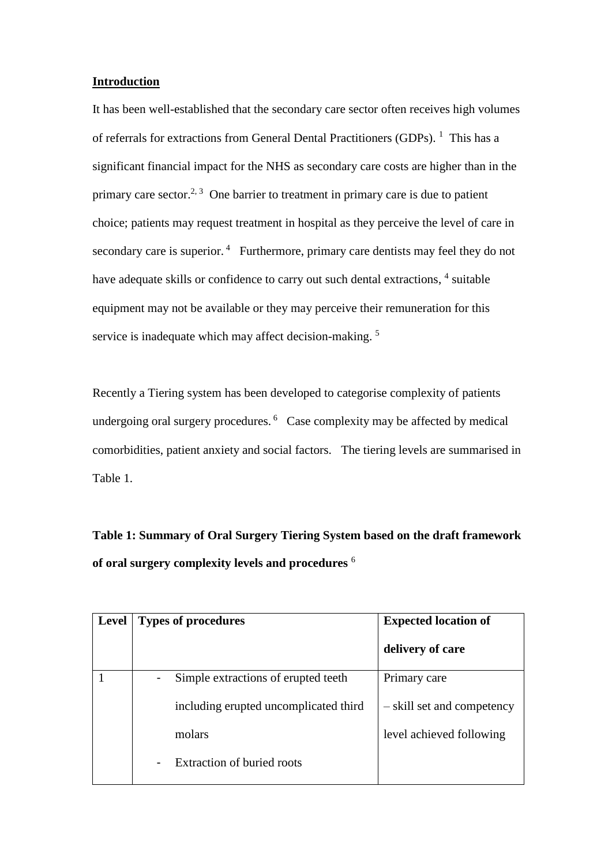#### **Introduction**

It has been well-established that the secondary care sector often receives high volumes of referrals for extractions from General Dental Practitioners (GDPs). <sup>1</sup> This has a significant financial impact for the NHS as secondary care costs are higher than in the primary care sector.<sup>2, 3</sup> One barrier to treatment in primary care is due to patient choice; patients may request treatment in hospital as they perceive the level of care in secondary care is superior.<sup>4</sup> Furthermore, primary care dentists may feel they do not have adequate skills or confidence to carry out such dental extractions, <sup>4</sup> suitable equipment may not be available or they may perceive their remuneration for this service is inadequate which may affect decision-making.<sup>5</sup>

Recently a Tiering system has been developed to categorise complexity of patients undergoing oral surgery procedures.<sup>6</sup> Case complexity may be affected by medical comorbidities, patient anxiety and social factors. The tiering levels are summarised in Table 1.

**Table 1: Summary of Oral Surgery Tiering System based on the draft framework of oral surgery complexity levels and procedures** <sup>6</sup>

| <b>Level</b> | <b>Types of procedures</b>                          | <b>Expected location of</b> |
|--------------|-----------------------------------------------------|-----------------------------|
|              |                                                     | delivery of care            |
|              | Simple extractions of erupted teeth.<br>-           | Primary care                |
|              | including erupted uncomplicated third               | - skill set and competency  |
|              | molars                                              | level achieved following    |
|              | <b>Extraction of buried roots</b><br>$\blacksquare$ |                             |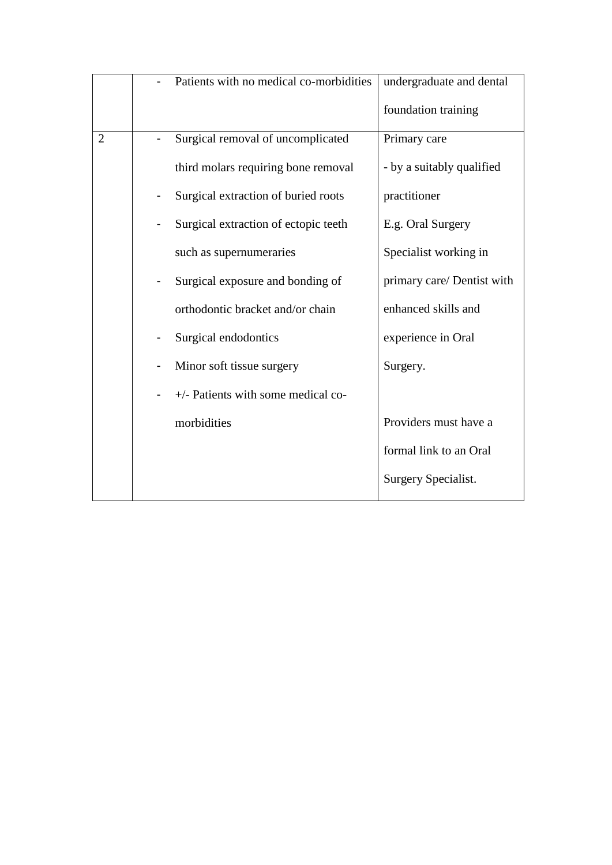|                | Patients with no medical co-morbidities    | undergraduate and dental   |
|----------------|--------------------------------------------|----------------------------|
|                |                                            | foundation training        |
| $\overline{2}$ | Surgical removal of uncomplicated          | Primary care               |
|                | third molars requiring bone removal        | - by a suitably qualified  |
|                | Surgical extraction of buried roots        | practitioner               |
|                | Surgical extraction of ectopic teeth       | E.g. Oral Surgery          |
|                | such as supernumeraries                    | Specialist working in      |
|                | Surgical exposure and bonding of           | primary care/ Dentist with |
|                | orthodontic bracket and/or chain           | enhanced skills and        |
|                | Surgical endodontics                       | experience in Oral         |
|                | Minor soft tissue surgery                  | Surgery.                   |
|                | $+\prime$ - Patients with some medical co- |                            |
|                | morbidities                                | Providers must have a      |
|                |                                            | formal link to an Oral     |
|                |                                            | Surgery Specialist.        |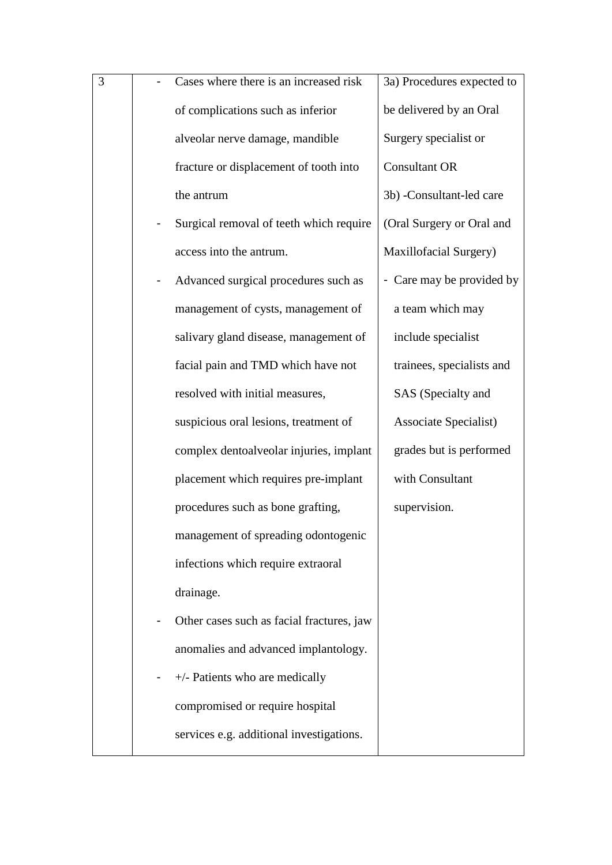| 3 | Cases where there is an increased risk    | 3a) Procedures expected to |
|---|-------------------------------------------|----------------------------|
|   | of complications such as inferior         | be delivered by an Oral    |
|   | alveolar nerve damage, mandible           | Surgery specialist or      |
|   | fracture or displacement of tooth into    | <b>Consultant OR</b>       |
|   | the antrum                                | 3b) -Consultant-led care   |
|   | Surgical removal of teeth which require   | (Oral Surgery or Oral and  |
|   | access into the antrum.                   | Maxillofacial Surgery)     |
|   | Advanced surgical procedures such as      | - Care may be provided by  |
|   | management of cysts, management of        | a team which may           |
|   | salivary gland disease, management of     | include specialist         |
|   | facial pain and TMD which have not        | trainees, specialists and  |
|   | resolved with initial measures,           | SAS (Specialty and         |
|   | suspicious oral lesions, treatment of     | Associate Specialist)      |
|   | complex dentoalveolar injuries, implant   | grades but is performed    |
|   | placement which requires pre-implant      | with Consultant            |
|   | procedures such as bone grafting,         | supervision.               |
|   | management of spreading odontogenic       |                            |
|   | infections which require extraoral        |                            |
|   | drainage.                                 |                            |
|   | Other cases such as facial fractures, jaw |                            |
|   | anomalies and advanced implantology.      |                            |
|   | $+\prime$ - Patients who are medically    |                            |
|   | compromised or require hospital           |                            |
|   | services e.g. additional investigations.  |                            |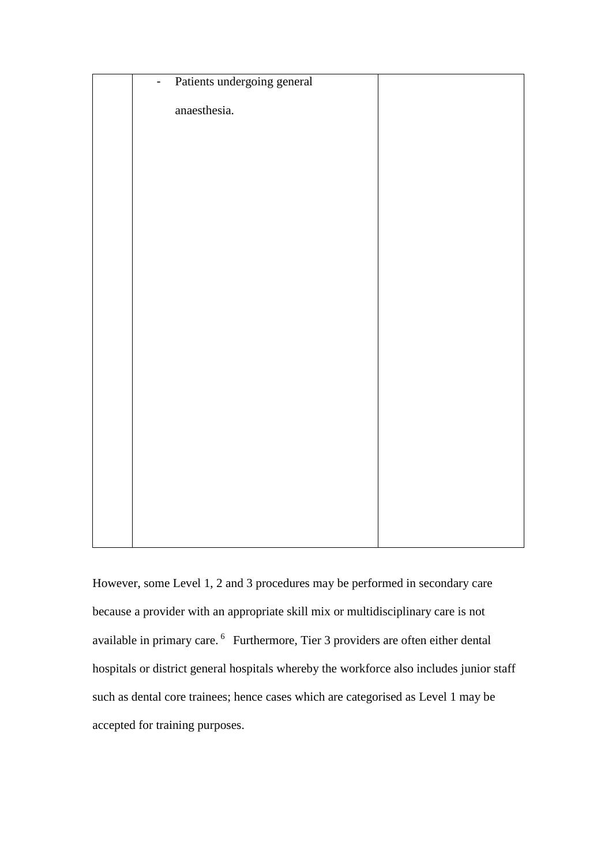| Patients undergoing general<br>$\mathbb{Z}^{\mathbb{Z}}$ |  |
|----------------------------------------------------------|--|
| anaesthesia.                                             |  |
|                                                          |  |
|                                                          |  |
|                                                          |  |
|                                                          |  |
|                                                          |  |
|                                                          |  |
|                                                          |  |
|                                                          |  |
|                                                          |  |
|                                                          |  |
|                                                          |  |
|                                                          |  |
|                                                          |  |
|                                                          |  |
|                                                          |  |
|                                                          |  |

However, some Level 1, 2 and 3 procedures may be performed in secondary care because a provider with an appropriate skill mix or multidisciplinary care is not available in primary care. 6 Furthermore, Tier 3 providers are often either dental hospitals or district general hospitals whereby the workforce also includes junior staff such as dental core trainees; hence cases which are categorised as Level 1 may be accepted for training purposes.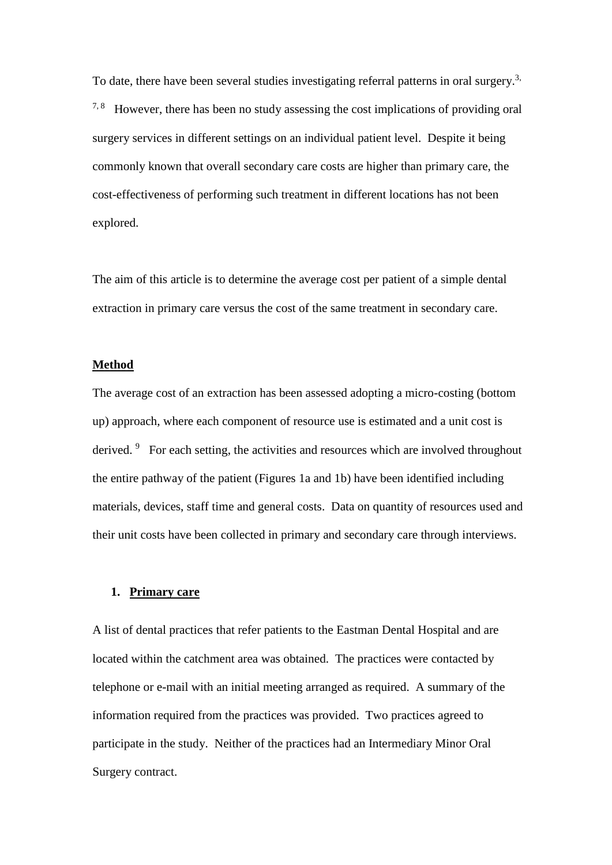To date, there have been several studies investigating referral patterns in oral surgery.<sup>3,</sup>  $7.8$  However, there has been no study assessing the cost implications of providing oral surgery services in different settings on an individual patient level. Despite it being commonly known that overall secondary care costs are higher than primary care, the cost-effectiveness of performing such treatment in different locations has not been explored.

The aim of this article is to determine the average cost per patient of a simple dental extraction in primary care versus the cost of the same treatment in secondary care.

#### **Method**

The average cost of an extraction has been assessed adopting a micro-costing (bottom up) approach, where each component of resource use is estimated and a unit cost is derived. <sup>9</sup> For each setting, the activities and resources which are involved throughout the entire pathway of the patient (Figures 1a and 1b) have been identified including materials, devices, staff time and general costs. Data on quantity of resources used and their unit costs have been collected in primary and secondary care through interviews.

#### **1. Primary care**

A list of dental practices that refer patients to the Eastman Dental Hospital and are located within the catchment area was obtained. The practices were contacted by telephone or e-mail with an initial meeting arranged as required. A summary of the information required from the practices was provided. Two practices agreed to participate in the study. Neither of the practices had an Intermediary Minor Oral Surgery contract.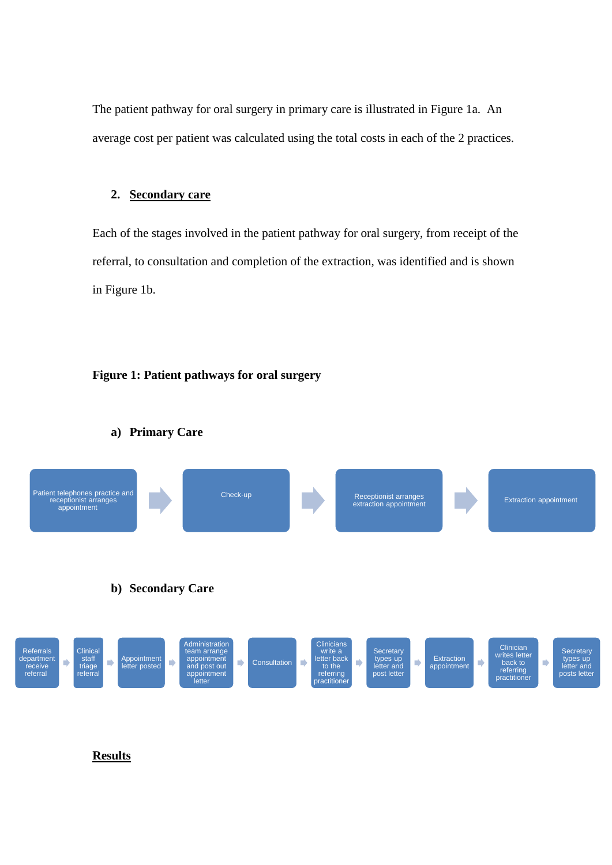The patient pathway for oral surgery in primary care is illustrated in Figure 1a. An average cost per patient was calculated using the total costs in each of the 2 practices.

#### **2. Secondary care**

Each of the stages involved in the patient pathway for oral surgery, from receipt of the referral, to consultation and completion of the extraction, was identified and is shown in Figure 1b.

#### **Figure 1: Patient pathways for oral surgery**



#### **a) Primary Care**

#### **Results**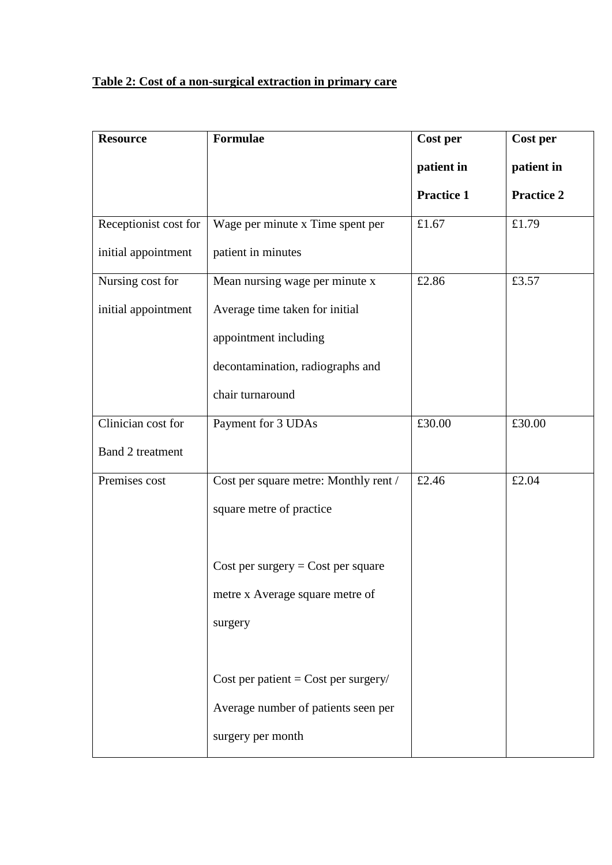# **Table 2: Cost of a non-surgical extraction in primary care**

| <b>Resource</b>         | <b>Formulae</b>                       | Cost per          | Cost per          |
|-------------------------|---------------------------------------|-------------------|-------------------|
|                         |                                       | patient in        | patient in        |
|                         |                                       | <b>Practice 1</b> | <b>Practice 2</b> |
| Receptionist cost for   | Wage per minute x Time spent per      | £1.67             | £1.79             |
| initial appointment     | patient in minutes                    |                   |                   |
| Nursing cost for        | Mean nursing wage per minute x        | £2.86             | £3.57             |
| initial appointment     | Average time taken for initial        |                   |                   |
|                         | appointment including                 |                   |                   |
|                         | decontamination, radiographs and      |                   |                   |
|                         | chair turnaround                      |                   |                   |
| Clinician cost for      | Payment for 3 UDAs                    | £30.00            | £30.00            |
| <b>Band 2 treatment</b> |                                       |                   |                   |
| Premises cost           | Cost per square metre: Monthly rent / | £2.46             | £2.04             |
|                         | square metre of practice              |                   |                   |
|                         |                                       |                   |                   |
|                         | Cost per surgery = $Cost$ per square  |                   |                   |
|                         | metre x Average square metre of       |                   |                   |
|                         | surgery                               |                   |                   |
|                         |                                       |                   |                   |
|                         | Cost per patient = Cost per surgery/  |                   |                   |
|                         | Average number of patients seen per   |                   |                   |
|                         | surgery per month                     |                   |                   |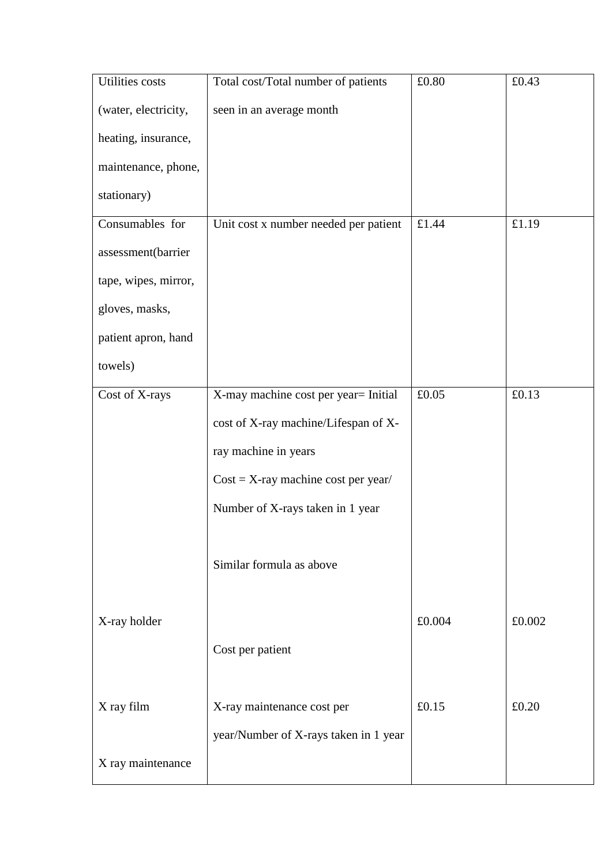| <b>Utilities</b> costs | Total cost/Total number of patients   | £0.80  | £0.43  |
|------------------------|---------------------------------------|--------|--------|
| (water, electricity,   | seen in an average month              |        |        |
| heating, insurance,    |                                       |        |        |
| maintenance, phone,    |                                       |        |        |
| stationary)            |                                       |        |        |
| Consumables for        | Unit cost x number needed per patient | £1.44  | £1.19  |
| assessment(barrier     |                                       |        |        |
| tape, wipes, mirror,   |                                       |        |        |
| gloves, masks,         |                                       |        |        |
| patient apron, hand    |                                       |        |        |
| towels)                |                                       |        |        |
| Cost of X-rays         | X-may machine cost per year= Initial  | £0.05  | £0.13  |
|                        | cost of X-ray machine/Lifespan of X-  |        |        |
|                        | ray machine in years                  |        |        |
|                        | $Cost = X-ray$ machine cost per year/ |        |        |
|                        | Number of X-rays taken in 1 year      |        |        |
|                        |                                       |        |        |
|                        | Similar formula as above              |        |        |
|                        |                                       |        |        |
| X-ray holder           |                                       | £0.004 | £0.002 |
|                        | Cost per patient                      |        |        |
|                        |                                       |        |        |
| X ray film             | X-ray maintenance cost per            | £0.15  | £0.20  |
|                        | year/Number of X-rays taken in 1 year |        |        |
| X ray maintenance      |                                       |        |        |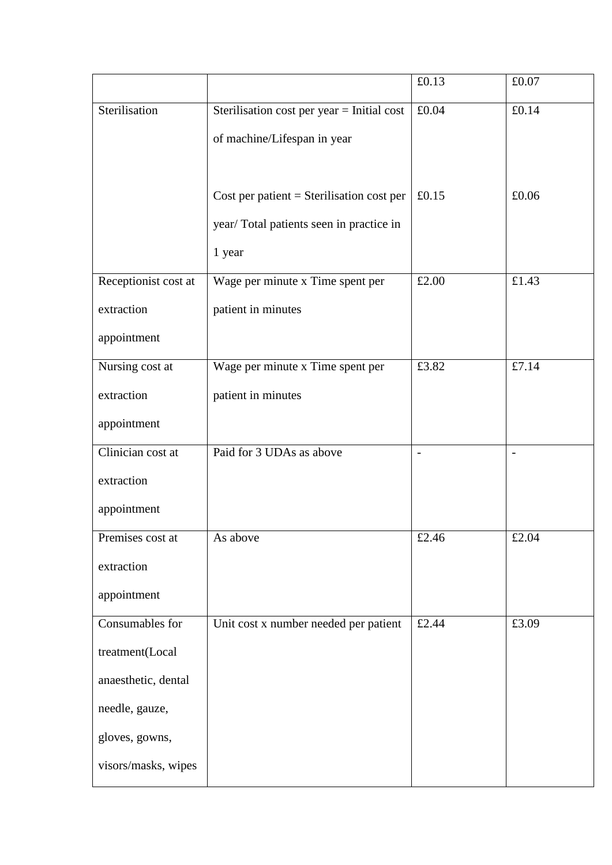|                      |                                             | £0.13                    | £0.07                    |
|----------------------|---------------------------------------------|--------------------------|--------------------------|
| Sterilisation        | Sterilisation cost per year = Initial cost  | £0.04                    | £0.14                    |
|                      | of machine/Lifespan in year                 |                          |                          |
|                      |                                             |                          |                          |
|                      | Cost per patient $=$ Sterilisation cost per | £0.15                    | £0.06                    |
|                      | year/Total patients seen in practice in     |                          |                          |
|                      | 1 year                                      |                          |                          |
| Receptionist cost at | Wage per minute x Time spent per            | £2.00                    | £1.43                    |
| extraction           | patient in minutes                          |                          |                          |
| appointment          |                                             |                          |                          |
| Nursing cost at      | Wage per minute x Time spent per            | £3.82                    | £7.14                    |
| extraction           | patient in minutes                          |                          |                          |
| appointment          |                                             |                          |                          |
| Clinician cost at    | Paid for 3 UDAs as above                    | $\overline{\phantom{a}}$ | $\overline{\phantom{0}}$ |
| extraction           |                                             |                          |                          |
| appointment          |                                             |                          |                          |
| Premises cost at     | As above                                    | £2.46                    | £2.04                    |
| extraction           |                                             |                          |                          |
| appointment          |                                             |                          |                          |
| Consumables for      | Unit cost x number needed per patient       | £2.44                    | £3.09                    |
| treatment(Local      |                                             |                          |                          |
| anaesthetic, dental  |                                             |                          |                          |
| needle, gauze,       |                                             |                          |                          |
| gloves, gowns,       |                                             |                          |                          |
| visors/masks, wipes  |                                             |                          |                          |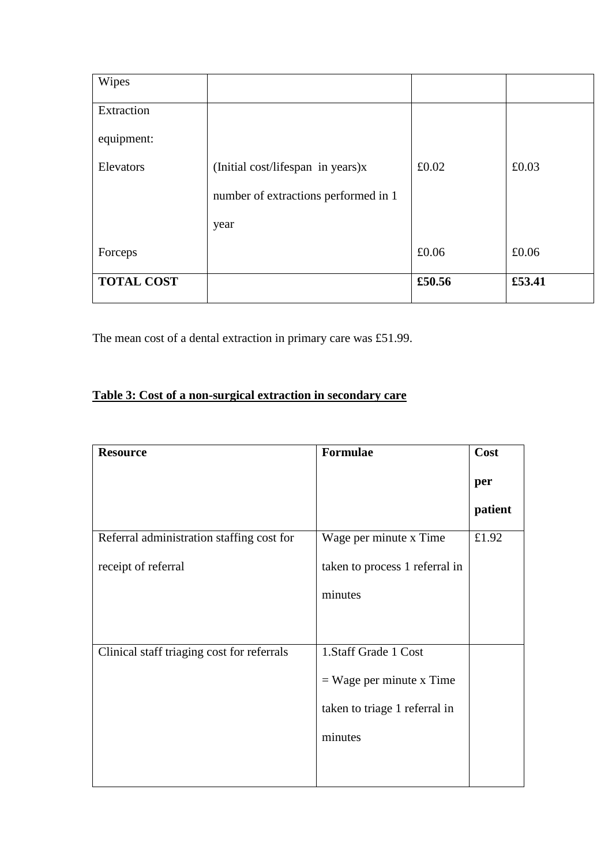| Wipes             |                                      |        |        |
|-------------------|--------------------------------------|--------|--------|
| Extraction        |                                      |        |        |
| equipment:        |                                      |        |        |
| Elevators         | (Initial cost/lifespan in years)x    | £0.02  | £0.03  |
|                   | number of extractions performed in 1 |        |        |
|                   | year                                 |        |        |
| Forceps           |                                      | £0.06  | £0.06  |
| <b>TOTAL COST</b> |                                      | £50.56 | £53.41 |

The mean cost of a dental extraction in primary care was £51.99.

# **Table 3: Cost of a non-surgical extraction in secondary care**

| <b>Resource</b>                            | Formulae                       | Cost    |
|--------------------------------------------|--------------------------------|---------|
|                                            |                                | per     |
|                                            |                                | patient |
| Referral administration staffing cost for  | Wage per minute x Time         | £1.92   |
| receipt of referral                        | taken to process 1 referral in |         |
|                                            | minutes                        |         |
|                                            |                                |         |
| Clinical staff triaging cost for referrals | 1.Staff Grade 1 Cost           |         |
|                                            | $=$ Wage per minute x Time     |         |
|                                            | taken to triage 1 referral in  |         |
|                                            | minutes                        |         |
|                                            |                                |         |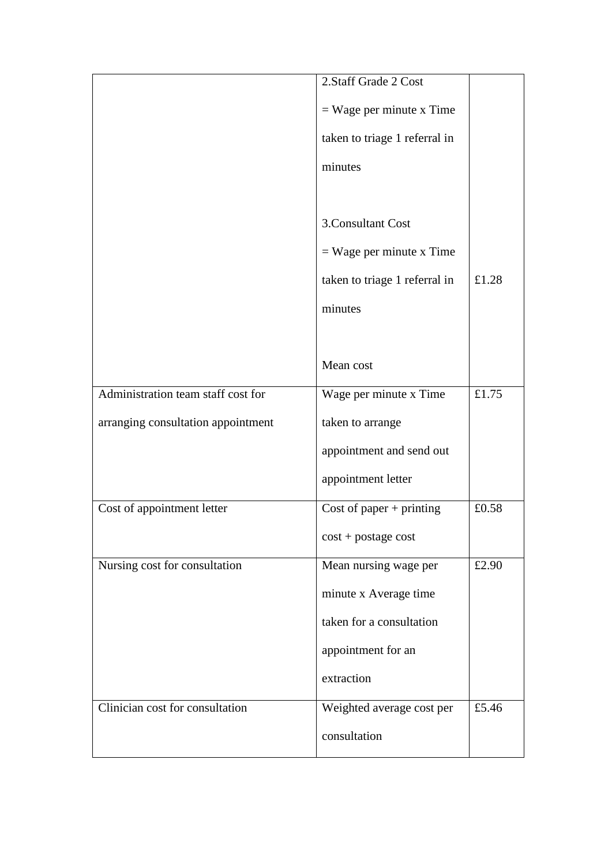|                                    | 2. Staff Grade 2 Cost         |       |
|------------------------------------|-------------------------------|-------|
|                                    | $=$ Wage per minute x Time    |       |
|                                    | taken to triage 1 referral in |       |
|                                    | minutes                       |       |
|                                    |                               |       |
|                                    | 3. Consultant Cost            |       |
|                                    | $=$ Wage per minute x Time    |       |
|                                    | taken to triage 1 referral in | £1.28 |
|                                    | minutes                       |       |
|                                    |                               |       |
|                                    | Mean cost                     |       |
| Administration team staff cost for | Wage per minute x Time        | £1.75 |
| arranging consultation appointment | taken to arrange              |       |
|                                    | appointment and send out      |       |
|                                    | appointment letter            |       |
| Cost of appointment letter         | Cost of paper $+$ printing    | £0.58 |
|                                    | $cost + postage cost$         |       |
| Nursing cost for consultation      | Mean nursing wage per         | £2.90 |
|                                    | minute x Average time         |       |
|                                    | taken for a consultation      |       |
|                                    | appointment for an            |       |
|                                    | extraction                    |       |
| Clinician cost for consultation    | Weighted average cost per     | £5.46 |
|                                    | consultation                  |       |
|                                    |                               |       |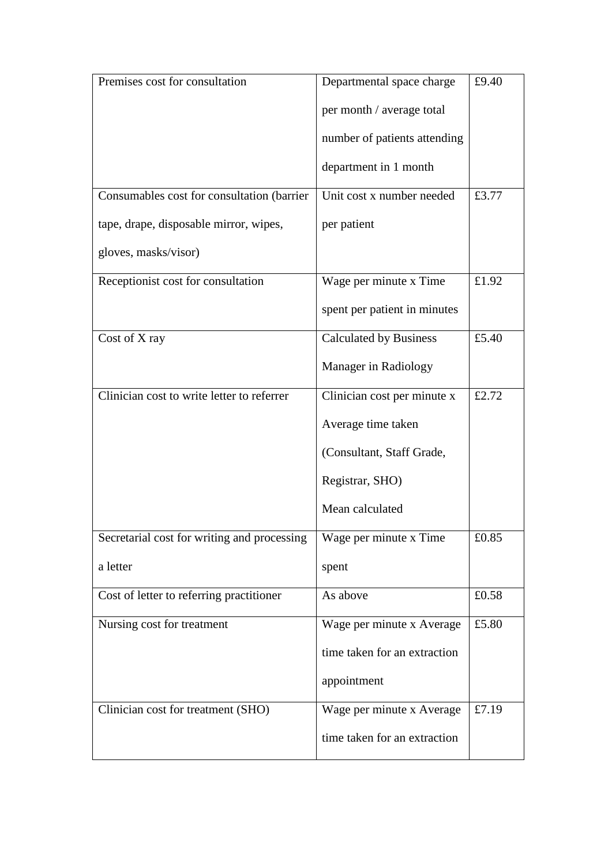| Premises cost for consultation              | Departmental space charge     | £9.40 |
|---------------------------------------------|-------------------------------|-------|
|                                             | per month / average total     |       |
|                                             | number of patients attending  |       |
|                                             | department in 1 month         |       |
| Consumables cost for consultation (barrier  | Unit cost x number needed     | £3.77 |
| tape, drape, disposable mirror, wipes,      | per patient                   |       |
| gloves, masks/visor)                        |                               |       |
| Receptionist cost for consultation          | Wage per minute x Time        | £1.92 |
|                                             | spent per patient in minutes  |       |
| Cost of X ray                               | <b>Calculated by Business</b> | £5.40 |
|                                             | Manager in Radiology          |       |
| Clinician cost to write letter to referrer  | Clinician cost per minute x   | £2.72 |
|                                             | Average time taken            |       |
|                                             | (Consultant, Staff Grade,     |       |
|                                             | Registrar, SHO)               |       |
|                                             | Mean calculated               |       |
| Secretarial cost for writing and processing | Wage per minute x Time        | £0.85 |
| a letter                                    | spent                         |       |
| Cost of letter to referring practitioner    | As above                      | £0.58 |
| Nursing cost for treatment                  | Wage per minute x Average     | £5.80 |
|                                             | time taken for an extraction  |       |
|                                             | appointment                   |       |
| Clinician cost for treatment (SHO)          | Wage per minute x Average     | £7.19 |
|                                             | time taken for an extraction  |       |
|                                             |                               |       |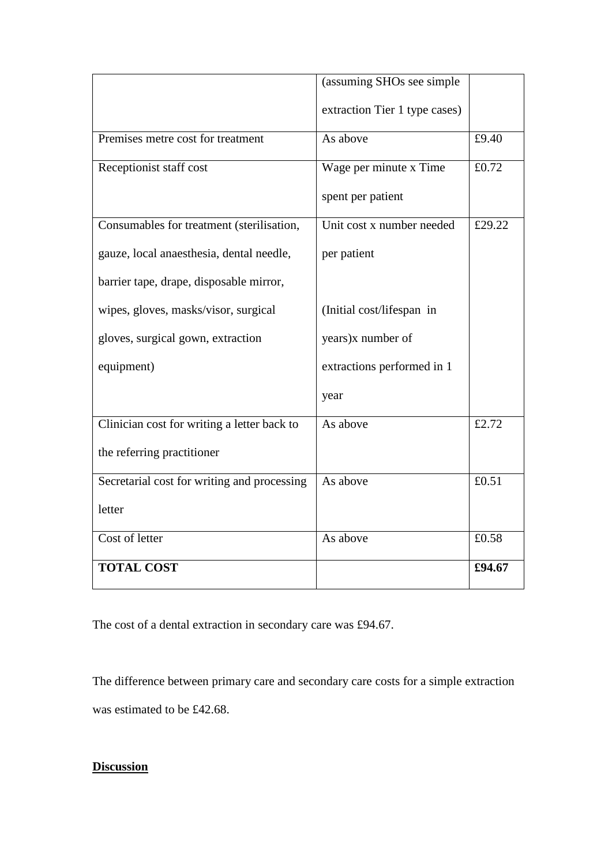|                                             | (assuming SHOs see simple     |        |
|---------------------------------------------|-------------------------------|--------|
|                                             | extraction Tier 1 type cases) |        |
| Premises metre cost for treatment           | As above                      | £9.40  |
| Receptionist staff cost                     | Wage per minute x Time        | £0.72  |
|                                             | spent per patient             |        |
| Consumables for treatment (sterilisation,   | Unit cost x number needed     | £29.22 |
| gauze, local anaesthesia, dental needle,    | per patient                   |        |
| barrier tape, drape, disposable mirror,     |                               |        |
| wipes, gloves, masks/visor, surgical        | (Initial cost/lifespan in     |        |
| gloves, surgical gown, extraction           | years)x number of             |        |
| equipment)                                  | extractions performed in 1    |        |
|                                             | year                          |        |
| Clinician cost for writing a letter back to | As above                      | £2.72  |
| the referring practitioner                  |                               |        |
| Secretarial cost for writing and processing | As above                      | £0.51  |
| letter                                      |                               |        |
| Cost of letter                              | As above                      | £0.58  |
| <b>TOTAL COST</b>                           |                               | £94.67 |

The cost of a dental extraction in secondary care was £94.67.

The difference between primary care and secondary care costs for a simple extraction was estimated to be £42.68.

## **Discussion**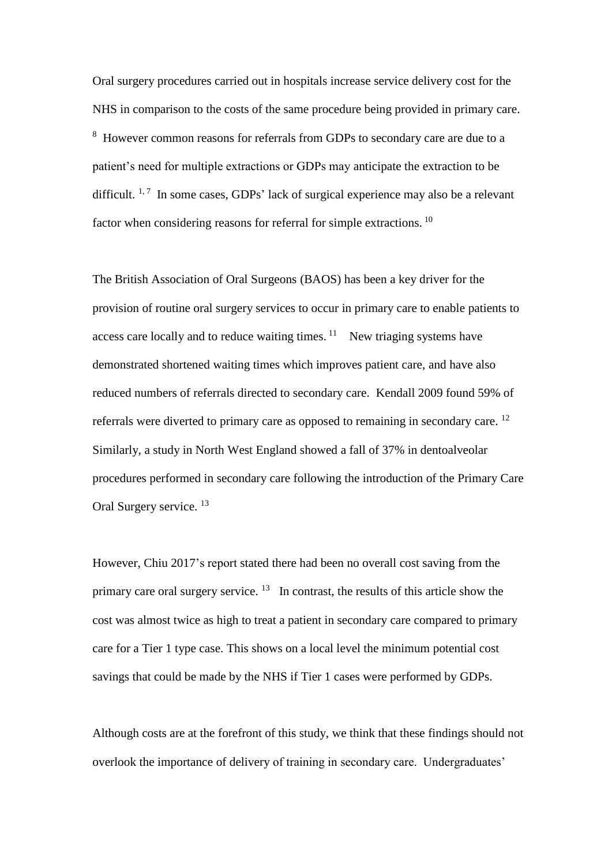Oral surgery procedures carried out in hospitals increase service delivery cost for the NHS in comparison to the costs of the same procedure being provided in primary care. <sup>8</sup> However common reasons for referrals from GDPs to secondary care are due to a patient's need for multiple extractions or GDPs may anticipate the extraction to be difficult.<sup>1,7</sup> In some cases, GDPs' lack of surgical experience may also be a relevant factor when considering reasons for referral for simple extractions. <sup>10</sup>

The British Association of Oral Surgeons (BAOS) has been a key driver for the provision of routine oral surgery services to occur in primary care to enable patients to access care locally and to reduce waiting times.  $11$  New triaging systems have demonstrated shortened waiting times which improves patient care, and have also reduced numbers of referrals directed to secondary care. Kendall 2009 found 59% of referrals were diverted to primary care as opposed to remaining in secondary care.<sup>12</sup> Similarly, a study in North West England showed a fall of 37% in dentoalveolar procedures performed in secondary care following the introduction of the Primary Care Oral Surgery service.<sup>13</sup>

However, Chiu 2017's report stated there had been no overall cost saving from the primary care oral surgery service.  $13$  In contrast, the results of this article show the cost was almost twice as high to treat a patient in secondary care compared to primary care for a Tier 1 type case. This shows on a local level the minimum potential cost savings that could be made by the NHS if Tier 1 cases were performed by GDPs.

Although costs are at the forefront of this study, we think that these findings should not overlook the importance of delivery of training in secondary care. Undergraduates'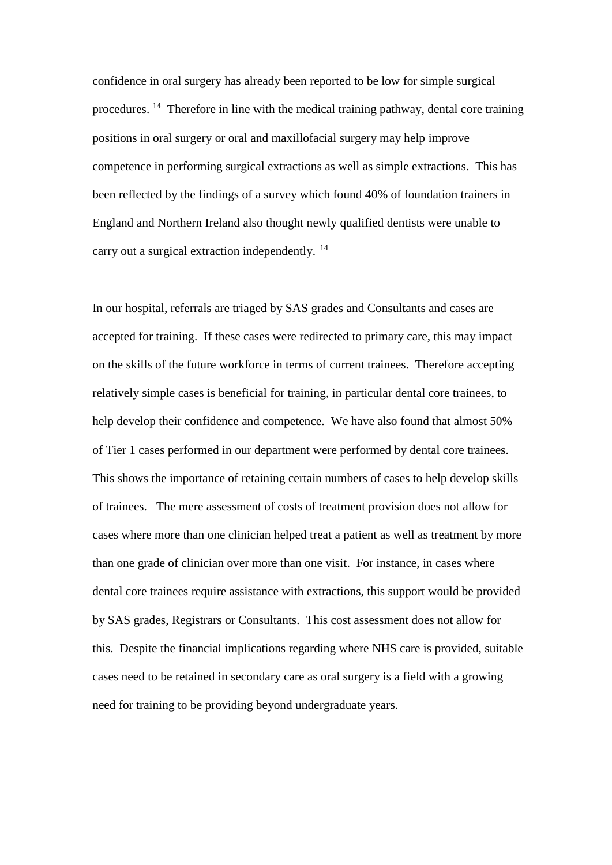confidence in oral surgery has already been reported to be low for simple surgical procedures.<sup>14</sup> Therefore in line with the medical training pathway, dental core training positions in oral surgery or oral and maxillofacial surgery may help improve competence in performing surgical extractions as well as simple extractions. This has been reflected by the findings of a survey which found 40% of foundation trainers in England and Northern Ireland also thought newly qualified dentists were unable to carry out a surgical extraction independently. <sup>14</sup>

In our hospital, referrals are triaged by SAS grades and Consultants and cases are accepted for training. If these cases were redirected to primary care, this may impact on the skills of the future workforce in terms of current trainees. Therefore accepting relatively simple cases is beneficial for training, in particular dental core trainees, to help develop their confidence and competence. We have also found that almost 50% of Tier 1 cases performed in our department were performed by dental core trainees. This shows the importance of retaining certain numbers of cases to help develop skills of trainees. The mere assessment of costs of treatment provision does not allow for cases where more than one clinician helped treat a patient as well as treatment by more than one grade of clinician over more than one visit. For instance, in cases where dental core trainees require assistance with extractions, this support would be provided by SAS grades, Registrars or Consultants. This cost assessment does not allow for this. Despite the financial implications regarding where NHS care is provided, suitable cases need to be retained in secondary care as oral surgery is a field with a growing need for training to be providing beyond undergraduate years.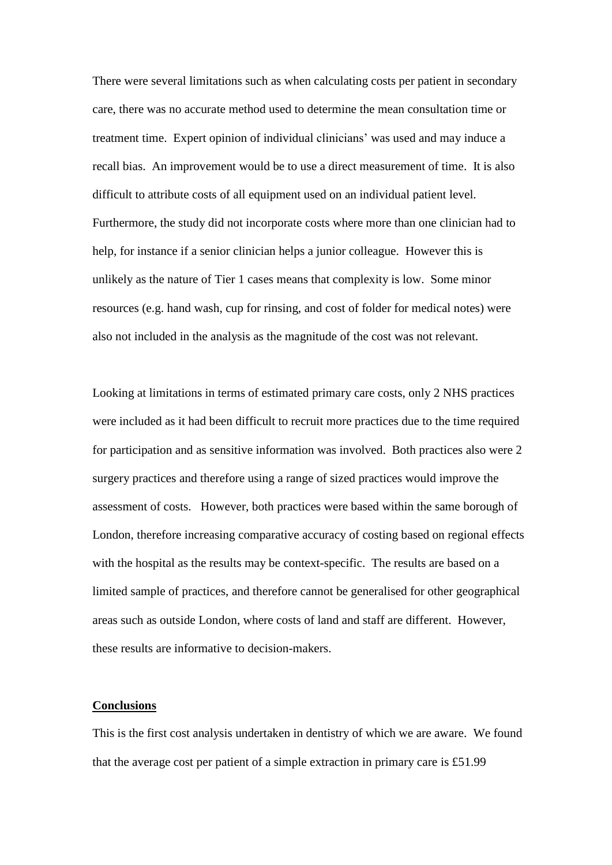There were several limitations such as when calculating costs per patient in secondary care, there was no accurate method used to determine the mean consultation time or treatment time. Expert opinion of individual clinicians' was used and may induce a recall bias. An improvement would be to use a direct measurement of time. It is also difficult to attribute costs of all equipment used on an individual patient level. Furthermore, the study did not incorporate costs where more than one clinician had to help, for instance if a senior clinician helps a junior colleague. However this is unlikely as the nature of Tier 1 cases means that complexity is low. Some minor resources (e.g. hand wash, cup for rinsing, and cost of folder for medical notes) were also not included in the analysis as the magnitude of the cost was not relevant.

Looking at limitations in terms of estimated primary care costs, only 2 NHS practices were included as it had been difficult to recruit more practices due to the time required for participation and as sensitive information was involved. Both practices also were 2 surgery practices and therefore using a range of sized practices would improve the assessment of costs. However, both practices were based within the same borough of London, therefore increasing comparative accuracy of costing based on regional effects with the hospital as the results may be context-specific. The results are based on a limited sample of practices, and therefore cannot be generalised for other geographical areas such as outside London, where costs of land and staff are different. However, these results are informative to decision-makers.

#### **Conclusions**

This is the first cost analysis undertaken in dentistry of which we are aware. We found that the average cost per patient of a simple extraction in primary care is £51.99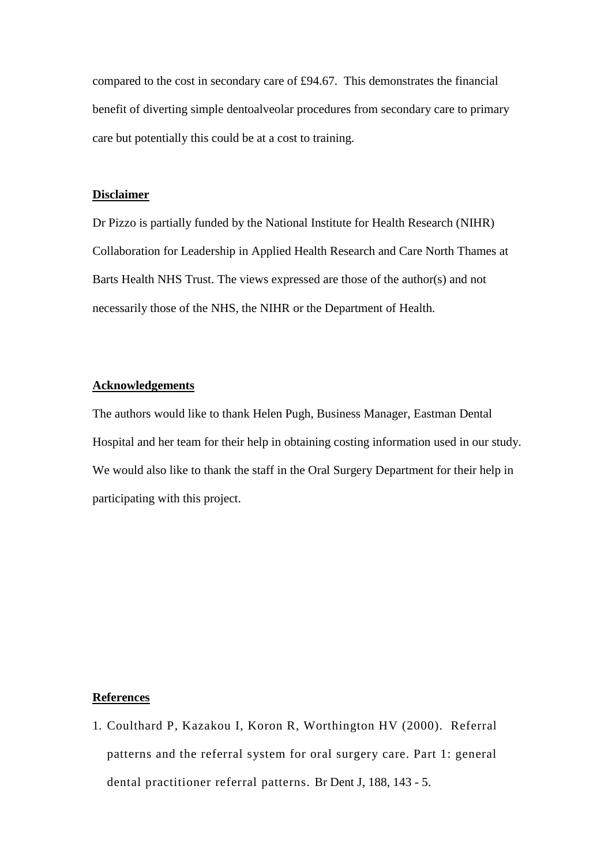compared to the cost in secondary care of £94.67. This demonstrates the financial benefit of diverting simple dentoalveolar procedures from secondary care to primary care but potentially this could be at a cost to training.

#### **Disclaimer**

Dr Pizzo is partially funded by the National Institute for Health Research (NIHR) Collaboration for Leadership in Applied Health Research and Care North Thames at Barts Health NHS Trust. The views expressed are those of the author(s) and not necessarily those of the NHS, the NIHR or the Department of Health.

#### **Acknowledgements**

The authors would like to thank Helen Pugh, Business Manager, Eastman Dental Hospital and her team for their help in obtaining costing information used in our study. We would also like to thank the staff in the Oral Surgery Department for their help in participating with this project.

#### **References**

1. Coulthard P, Kazakou I, Koron R, Worthington HV (2000). Referral patterns and the referral system for oral surgery care. Part 1: general dental practitioner referral patterns. Br Dent J, 188, 143 - 5.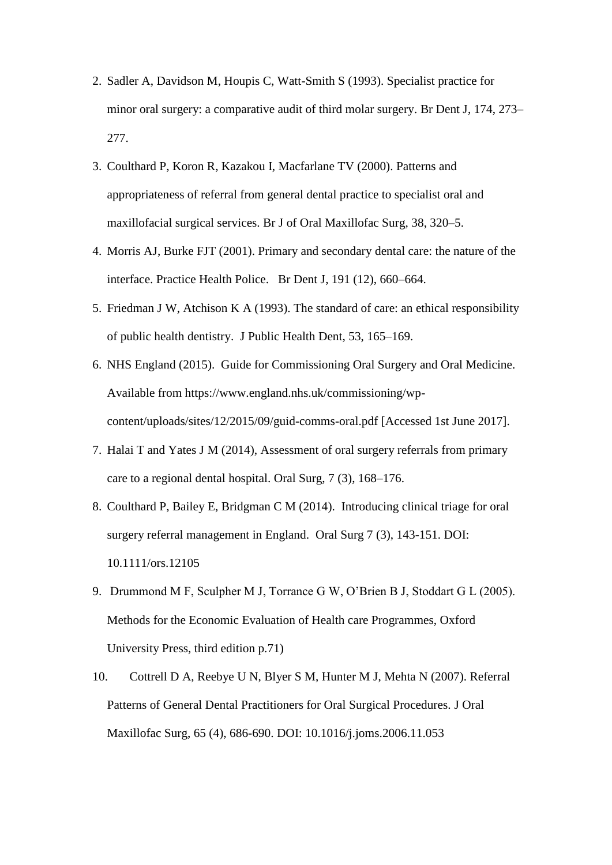- 2. Sadler A, Davidson M, Houpis C, Watt-Smith S (1993). Specialist practice for minor oral surgery: a comparative audit of third molar surgery. Br Dent J, 174, 273– 277.
- 3. Coulthard P, Koron R, Kazakou I, Macfarlane TV (2000). Patterns and appropriateness of referral from general dental practice to specialist oral and maxillofacial surgical services. Br J of Oral Maxillofac Surg, 38, 320–5.
- 4. Morris AJ, Burke FJT (2001). Primary and secondary dental care: the nature of the interface. Practice Health Police. Br Dent J, 191 (12), 660–664.
- 5. Friedman J W, Atchison K A (1993). The standard of care: an ethical responsibility of public health dentistry. J Public Health Dent, 53, 165–169.
- 6. NHS England (2015). Guide for Commissioning Oral Surgery and Oral Medicine. Available from https://www.england.nhs.uk/commissioning/wpcontent/uploads/sites/12/2015/09/guid-comms-oral.pdf [Accessed 1st June 2017].
- 7. Halai T and Yates J M (2014), Assessment of oral surgery referrals from primary care to a regional dental hospital. Oral Surg, 7 (3), 168–176.
- 8. [Coulthard P,](https://www.research.manchester.ac.uk/portal/paul.coulthard.html) Bailey E, Bridgman C M (2014). [Introducing clinical triage for oral](https://www.research.manchester.ac.uk/portal/en/publications/introducing-clinical-triage-for-oral-surgery-referral-management-in-england%28bb1ba5ad-b2bf-4964-8616-3c37226b37bd%29.html)  [surgery referral management in England.](https://www.research.manchester.ac.uk/portal/en/publications/introducing-clinical-triage-for-oral-surgery-referral-management-in-england%28bb1ba5ad-b2bf-4964-8616-3c37226b37bd%29.html) Oral Surg 7 (3), 143-151. DOI: [10.1111/ors.12105](http://dx.doi.org/10.1111/ors.12105)
- 9. Drummond M F, Sculpher M J, Torrance G W, O'Brien B J, Stoddart G L (2005). Methods for the Economic Evaluation of Health care Programmes, Oxford University Press, third edition p.71)
- 10. Cottrell D A, Reebye U N, Blyer S M, Hunter M J, Mehta N (2007). Referral Patterns of General Dental Practitioners for Oral Surgical Procedures. J Oral Maxillofac Surg, 65 (4), 686-690. DOI: [10.1016/j.joms.2006.11.053](http://dx.doi.org/10.1016/j.joms.2006.11.053)